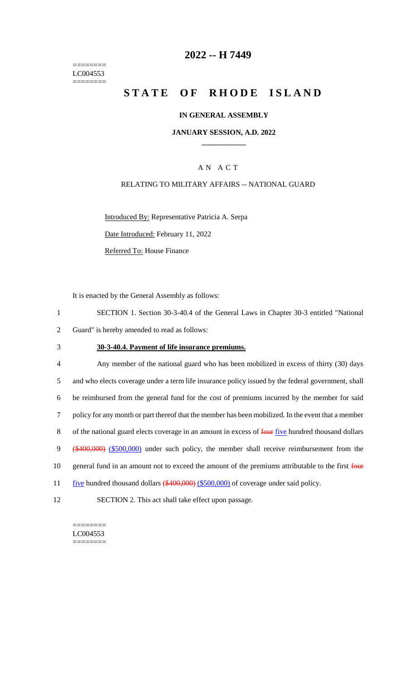======== LC004553 ========

## **2022 -- H 7449**

# **STATE OF RHODE ISLAND**

#### **IN GENERAL ASSEMBLY**

### **JANUARY SESSION, A.D. 2022 \_\_\_\_\_\_\_\_\_\_\_\_**

## A N A C T

### RELATING TO MILITARY AFFAIRS -- NATIONAL GUARD

Introduced By: Representative Patricia A. Serpa

Date Introduced: February 11, 2022

Referred To: House Finance

It is enacted by the General Assembly as follows:

- 1 SECTION 1. Section 30-3-40.4 of the General Laws in Chapter 30-3 entitled "National 2 Guard" is hereby amended to read as follows:
- 

#### 3 **30-3-40.4. Payment of life insurance premiums.**

4 Any member of the national guard who has been mobilized in excess of thirty (30) days 5 and who elects coverage under a term life insurance policy issued by the federal government, shall 6 be reimbursed from the general fund for the cost of premiums incurred by the member for said 7 policy for any month or part thereof that the member has been mobilized. In the event that a member 8 of the national guard elects coverage in an amount in excess of four five hundred thousand dollars 9 (\$400,000) (\$500,000) under such policy, the member shall receive reimbursement from the 10 general fund in an amount not to exceed the amount of the premiums attributable to the first four 11 five hundred thousand dollars (\$400,000) (\$500,000) of coverage under said policy. 12 SECTION 2. This act shall take effect upon passage.

 $=$ LC004553 ========